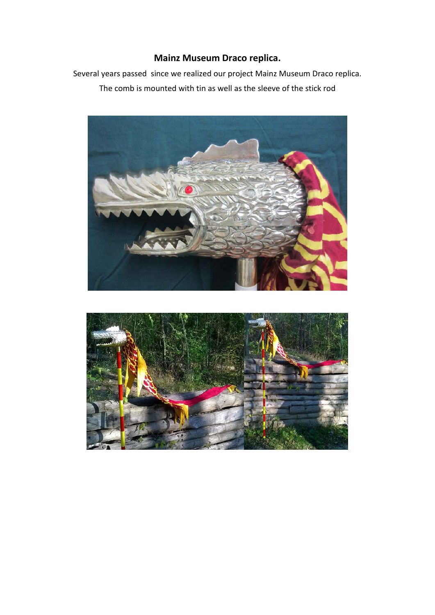## **Mainz Museum Draco replica.**

Several years passed since we realized our project Mainz Museum Draco replica. The comb is mounted with tin as well as the sleeve of the stick rod



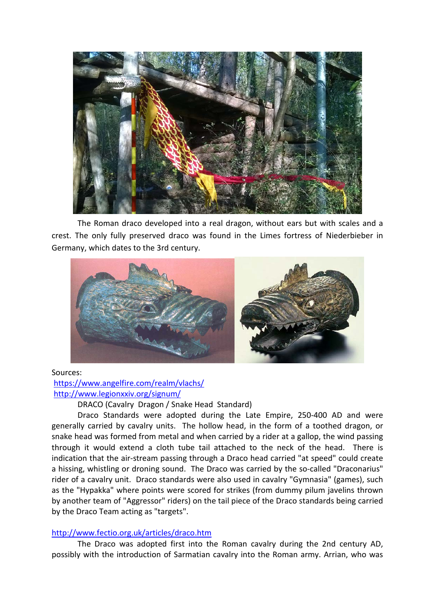

The Roman draco developed into a real dragon, without ears but with scales and a crest. The only fully preserved draco was found in the Limes fortress of Niederbieber in Germany, which dates to the 3rd century.



Sources: <https://www.angelfire.com/realm/vlachs/> <http://www.legionxxiv.org/signum/>

DRACO (Cavalry Dragon / Snake Head Standard)

Draco Standards were adopted during the Late Empire, 250-400 AD and were generally carried by cavalry units. The hollow head, in the form of a toothed dragon, or snake head was formed from metal and when carried by a rider at a gallop, the wind passing through it would extend a cloth tube tail attached to the neck of the head. There is indication that the air-stream passing through a Draco head carried "at speed" could create a hissing, whistling or droning sound. The Draco was carried by the so-called "Draconarius" rider of a cavalry unit. Draco standards were also used in cavalry "Gymnasia" (games), such as the "Hypakka" where points were scored for strikes (from dummy pilum javelins thrown by another team of "Aggressor" riders) on the tail piece of the Draco standards being carried by the Draco Team acting as "targets".

## <http://www.fectio.org.uk/articles/draco.htm>

The Draco was adopted first into the Roman cavalry during the 2nd century AD, possibly with the introduction of Sarmatian cavalry into the Roman army. Arrian, who was